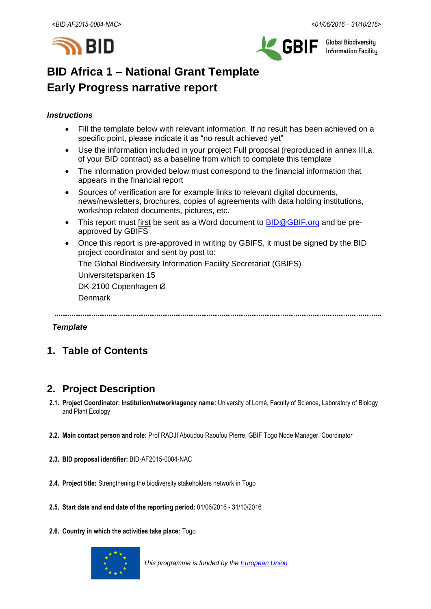



**Global Biodiversity Information Facilitu** 

# **BID Africa 1 – National Grant Template Early Progress narrative report**

# *Instructions*

- Fill the template below with relevant information. If no result has been achieved on a specific point, please indicate it as "no result achieved yet"
- Use the information included in your project Full proposal (reproduced in annex III.a. of your BID contract) as a baseline from which to complete this template
- The information provided below must correspond to the financial information that appears in the financial report
- Sources of verification are for example links to relevant digital documents, news/newsletters, brochures, copies of agreements with data holding institutions, workshop related documents, pictures, etc.
- This report must first be sent as a Word document to **BID@GBIF.org** and be preapproved by GBIFS
- Once this report is pre-approved in writing by GBIFS, it must be signed by the BID project coordinator and sent by post to:

The Global Biodiversity Information Facility Secretariat (GBIFS)

Universitetsparken 15

DK-2100 Copenhagen Ø

Denmark

# *Template*

# **1. Table of Contents**

# **2. Project Description**

- **2.1. Project Coordinator: Institution/network/agency name:** University of Lomé, Faculty of Science, Laboratory of Biology and Plant Ecology
- **2.2. Main contact person and role:** Prof RADJI Aboudou Raoufou Pierre, GBIF Togo Node Manager, Coordinator
- **2.3. BID proposal identifier:** BID-AF2015-0004-NAC
- **2.4. Project title:** Strengthening the biodiversity stakeholders network in Togo
- **2.5. Start date and end date of the reporting period:** 01/06/2016 31/10/2016
- **2.6. Country in which the activities take place:** Togo



*This programme is funded by the [European Union](http://europa.eu/)*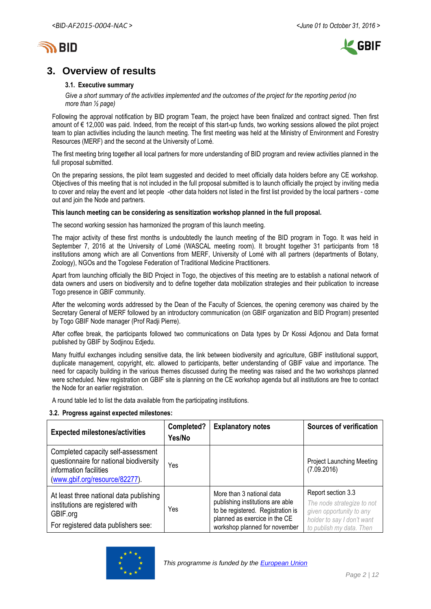



# **3. Overview of results**

#### **3.1. Executive summary**

*Give a short summary of the activities implemented and the outcomes of the project for the reporting period (no more than ½ page)*

Following the approval notification by BID program Team, the project have been finalized and contract signed. Then first amount of € 12,000 was paid. Indeed, from the receipt of this start-up funds, two working sessions allowed the pilot project team to plan activities including the launch meeting. The first meeting was held at the Ministry of Environment and Forestry Resources (MERF) and the second at the University of Lomé.

The first meeting bring together all local partners for more understanding of BID program and review activities planned in the full proposal submitted.

On the preparing sessions, the pilot team suggested and decided to meet officially data holders before any CE workshop. Objectives of this meeting that is not included in the full proposal submitted is to launch officially the project by inviting media to cover and relay the event and let people -other data holders not listed in the first list provided by the local partners - come out and join the Node and partners.

#### **This launch meeting can be considering as sensitization workshop planned in the full proposal.**

The second working session has harmonized the program of this launch meeting.

The major activity of these first months is undoubtedly the launch meeting of the BID program in Togo. It was held in September 7, 2016 at the University of Lomé (WASCAL meeting room). It brought together 31 participants from 18 institutions among which are all Conventions from MERF, University of Lomé with all partners (departments of Botany, Zoology), NGOs and the Togolese Federation of Traditional Medicine Practitioners.

Apart from launching officially the BID Project in Togo, the objectives of this meeting are to establish a national network of data owners and users on biodiversity and to define together data mobilization strategies and their publication to increase Togo presence in GBIF community.

After the welcoming words addressed by the Dean of the Faculty of Sciences, the opening ceremony was chaired by the Secretary General of MERF followed by an introductory communication (on GBIF organization and BID Program) presented by Togo GBIF Node manager (Prof Radji Pierre).

After coffee break, the participants followed two communications on Data types by Dr Kossi Adjonou and Data format published by GBIF by Sodjinou Edjedu.

Many fruitful exchanges including sensitive data, the link between biodiversity and agriculture, GBIF institutional support, duplicate management, copyright, etc. allowed to participants, better understanding of GBIF value and importance. The need for capacity building in the various themes discussed during the meeting was raised and the two workshops planned were scheduled. New registration on GBIF site is planning on the CE workshop agenda but all institutions are free to contact the Node for an earlier registration.

A round table led to list the data available from the participating institutions.

#### **3.2. Progress against expected milestones:**

| <b>Expected milestones/activities</b>                                                                                                     | Completed?<br>Yes/No | <b>Explanatory notes</b>                                                                                                                                             | <b>Sources of verification</b>                                                                                                         |
|-------------------------------------------------------------------------------------------------------------------------------------------|----------------------|----------------------------------------------------------------------------------------------------------------------------------------------------------------------|----------------------------------------------------------------------------------------------------------------------------------------|
| Completed capacity self-assessment<br>questionnaire for national biodiversity<br>information facilities<br>(www.gbif.org/resource/82277). | Yes                  |                                                                                                                                                                      | <b>Project Launching Meeting</b><br>(7.09.2016)                                                                                        |
| At least three national data publishing<br>institutions are registered with<br>GBIF.org<br>For registered data publishers see:            | Yes                  | More than 3 national data<br>publishing institutions are able<br>to be registered. Registration is<br>planned as exercice in the CE<br>workshop planned for november | Report section 3.3<br>The node strategize to not<br>given opportunity to any<br>holder to say I don't want<br>to publish my data. Then |

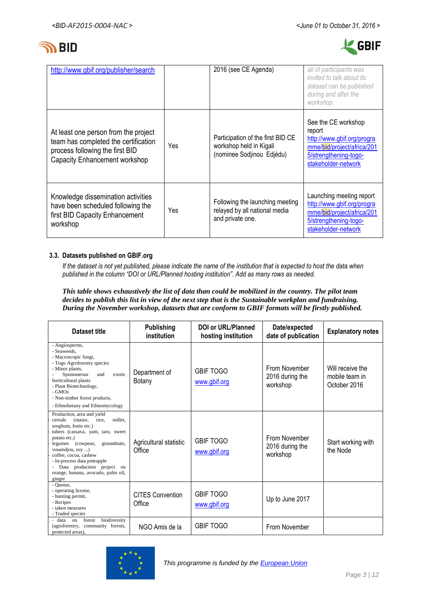



| http://www.gbif.org/publisher/search                                                                                                                    |     | 2016 (see CE Agenda)                                                                      | all of participants was<br>invited to talk about its<br>dataset can be published<br>during and after the<br>workshop.                     |
|---------------------------------------------------------------------------------------------------------------------------------------------------------|-----|-------------------------------------------------------------------------------------------|-------------------------------------------------------------------------------------------------------------------------------------------|
| At least one person from the project<br>team has completed the certification<br>process following the first BID<br><b>Capacity Enhancement workshop</b> | Yes | Participation of the first BID CE<br>workshop held in Kigali<br>(nominee Sodjinou Edjédu) | See the CE workshop<br>report<br>http://www.gbif.org/progra<br>mme/bid/project/africa/201<br>5/strengthening-togo-<br>stakeholder-network |
| Knowledge dissemination activities<br>have been scheduled following the<br>first BID Capacity Enhancement<br>workshop                                   | Yes | Following the launching meeting<br>relayed by all national media<br>and private one.      | Launching meeting report<br>http://www.gbif.org/progra<br>mme/bid/project/africa/201<br>5/strengthening-togo-<br>stakeholder-network      |

### **3.3. Datasets published on GBIF.org**

*If the dataset is not yet published, please indicate the name of the institution that is expected to host the data when published in the column "DOI or URL/Planned hosting institution". Add as many rows as needed.*

*This table shows exhaustively the list of data than could be mobilized in the country. The pilot team decides to publish this list in view of the next step that is the Sustainable workplan and fundraising. During the November workshop, datasets that are conform to GBIF formats will be firstly published.*

| Dataset title                                                                                                                                                                                                                                                                                                                                        | <b>Publishing</b><br><i>institution</i> | DOI or URL/Planned<br>hosting institution | Date/expected<br>date of publication         | <b>Explanatory notes</b>                           |
|------------------------------------------------------------------------------------------------------------------------------------------------------------------------------------------------------------------------------------------------------------------------------------------------------------------------------------------------------|-----------------------------------------|-------------------------------------------|----------------------------------------------|----------------------------------------------------|
| - Angiosperms,<br>- Seaweeds,<br>- Macroscopic fungi,<br>- Togo Agroforestry species<br>- Minor plants,<br>exotic<br>Spontaneous<br>and<br>horticultural plants<br>- Plant Biotechnology,<br>$-GMOs$<br>- Non-timber forest products,<br>- Ethnobotany and Ethnomycology                                                                             | Department of<br>Botany                 | <b>GBIF TOGO</b><br>www.gbif.org          | From November<br>2016 during the<br>workshop | Will receive the<br>mobile team in<br>October 2016 |
| Production, area and yield<br>millet.<br>cereals<br>(maize,<br>rice,<br>sorghum, fonio etc.)<br>tubers (cassava, yam, taro, sweet<br>potato etc.)<br>groundnuts,<br>(cowpeas,<br>legumes<br>vouandjou, soy )<br>coffee, cocoa, cashew<br>- In-process data pineapple<br>- Data production project on<br>orange, banana, avocado, palm oil,<br>ginger | Agricultural statistic<br>Office        | <b>GBIF TOGO</b><br>www.gbif.org          | From November<br>2016 during the<br>workshop | Start working with<br>the Node                     |
| - Quotas.<br>- operating license,<br>- hunting permit,<br>- Recipes<br>- taken measures<br>- Traded species                                                                                                                                                                                                                                          | <b>CITES Convention</b><br>Office       | <b>GBIF TOGO</b><br>www.gbif.org          | Up to June 2017                              |                                                    |
| biodiversity<br>- data<br>forest<br>$_{\text{on}}$<br>(agroforestry,<br>community forests,<br>protected areas).                                                                                                                                                                                                                                      | NGO Amis de la                          | <b>GBIF TOGO</b>                          | From November                                |                                                    |

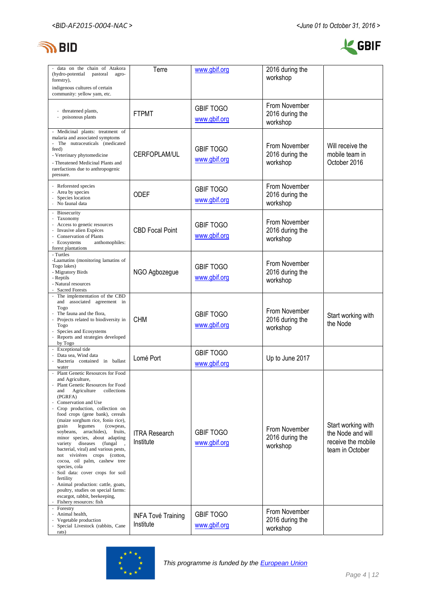



| - data on the chain of Atakora<br>(hydro-potential)<br>pastoral<br>agro-<br>forestry),                                                                                                                                                                                                                                                                                                                                                                                                                                                                                                                                                                                                                                           | Terre                                  | www.gbif.org                     | 2016 during the<br>workshop                  |                                                                                  |
|----------------------------------------------------------------------------------------------------------------------------------------------------------------------------------------------------------------------------------------------------------------------------------------------------------------------------------------------------------------------------------------------------------------------------------------------------------------------------------------------------------------------------------------------------------------------------------------------------------------------------------------------------------------------------------------------------------------------------------|----------------------------------------|----------------------------------|----------------------------------------------|----------------------------------------------------------------------------------|
| indigenous cultures of certain<br>community: yellow yam, etc.                                                                                                                                                                                                                                                                                                                                                                                                                                                                                                                                                                                                                                                                    |                                        |                                  |                                              |                                                                                  |
| - threatened plants,<br>poisonous plants                                                                                                                                                                                                                                                                                                                                                                                                                                                                                                                                                                                                                                                                                         | <b>FTPMT</b>                           | <b>GBIF TOGO</b><br>www.gbif.org | From November<br>2016 during the<br>workshop |                                                                                  |
| - Medicinal plants: treatment of<br>malaria and associated symptoms<br>- The nutraceuticals (medicated<br>feed)<br>- Veterinary phytomedicine<br>- Threatened Medicinal Plants and<br>rarefactions due to anthropogenic<br>pressure.                                                                                                                                                                                                                                                                                                                                                                                                                                                                                             | <b>CERFOPLAM/UL</b>                    | <b>GBIF TOGO</b><br>www.gbif.org | From November<br>2016 during the<br>workshop | Will receive the<br>mobile team in<br>October 2016                               |
| - Reforested species<br>- Area by species<br>Species location<br>No faunal data                                                                                                                                                                                                                                                                                                                                                                                                                                                                                                                                                                                                                                                  | <b>ODEF</b>                            | <b>GBIF TOGO</b><br>www.gbif.org | From November<br>2016 during the<br>workshop |                                                                                  |
| Biosecurity<br>- Taxonomy<br>- Access to genetic resources<br>Invasive alien Expèces<br>- Conservation of Plants<br>- Ecosystems<br>anthomophiles:<br>forest plantations                                                                                                                                                                                                                                                                                                                                                                                                                                                                                                                                                         | <b>CBD Focal Point</b>                 | <b>GBIF TOGO</b><br>www.gbif.org | From November<br>2016 during the<br>workshop |                                                                                  |
| - Turtles<br>-Laamatins (monitoring lamatins of<br>Togo lakes)<br>- Migratory Birds<br>- Reptils<br>- Natural resources<br>- Sacred Forests                                                                                                                                                                                                                                                                                                                                                                                                                                                                                                                                                                                      | NGO Agbozegue                          | <b>GBIF TOGO</b><br>www.gbif.org | From November<br>2016 during the<br>workshop |                                                                                  |
| - The implementation of the CBD<br>and associated agreement in<br>Togo<br>The fauna and the flora,<br>Projects related to biodiversity in<br>Togo<br>Species and Ecosystems<br>Reports and strategies developed<br>by Togo                                                                                                                                                                                                                                                                                                                                                                                                                                                                                                       | <b>CHM</b>                             | <b>GBIF TOGO</b><br>www.gbif.org | From November<br>2016 during the<br>workshop | Start working with<br>the Node                                                   |
| - Exceptional tide<br>Data sea, Wind data<br>Bacteria contained in ballast<br>water                                                                                                                                                                                                                                                                                                                                                                                                                                                                                                                                                                                                                                              | Lomé Port                              | <b>GBIF TOGO</b><br>www.gbif.org | Up to June 2017                              |                                                                                  |
| Plant Genetic Resources for Food<br>and Agriculture,<br>Plant Genetic Resources for Food<br>collections<br>and<br>Agriculture<br>(PGRFA)<br>Conservation and Use<br>Crop production, collection on<br>food crops (gene bank), cereals<br>(maize sorghum rice, fonio rice),<br>legumes<br>(cowpeas,<br>grain<br>soybeans, arrachides), fruits,<br>minor species, about adapting<br>(fungal<br>variety<br>diseases<br>bacterial, viral) and various pests,<br>not vivirères crops (cotton,<br>cocoa, oil palm, cashew tree<br>species, cola<br>Soil data: cover crops for soil<br>fertility<br>Animal production: cattle, goats,<br>poultry, studies on special farms:<br>escargot, rabbit, beekeeping,<br>Fishery resources: fish | <b>ITRA Research</b><br>Institute      | <b>GBIF TOGO</b><br>www.gbif.org | From November<br>2016 during the<br>workshop | Start working with<br>the Node and will<br>receive the mobile<br>team in October |
| Forestry<br>- Animal health,<br>Vegetable production<br>Special Livestock (rabbits, Cane<br>rats)                                                                                                                                                                                                                                                                                                                                                                                                                                                                                                                                                                                                                                | <b>INFA Tové Training</b><br>Institute | <b>GBIF TOGO</b><br>www.gbif.org | From November<br>2016 during the<br>workshop |                                                                                  |

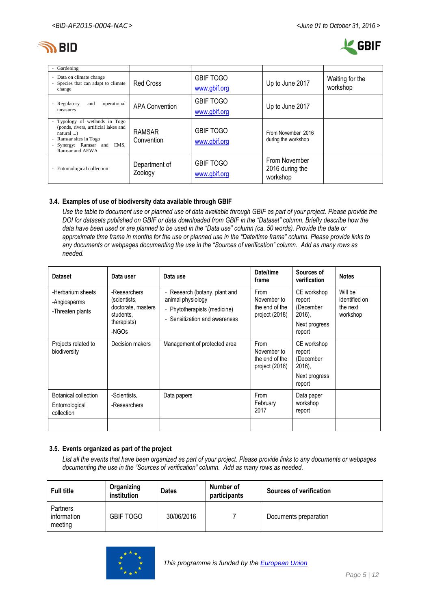



| Gardening                                                                                                                                                                                                                  |                             |                                  |                                              |                             |
|----------------------------------------------------------------------------------------------------------------------------------------------------------------------------------------------------------------------------|-----------------------------|----------------------------------|----------------------------------------------|-----------------------------|
| Data on climate change<br>$\overline{\phantom{a}}$<br>Species that can adapt to climate<br>$\overline{\phantom{a}}$<br>change                                                                                              | <b>Red Cross</b>            | <b>GBIF TOGO</b><br>www.gbif.org | Up to June 2017                              | Waiting for the<br>workshop |
| Regulatory<br>operational<br>and<br>$\overline{\phantom{0}}$<br>measures                                                                                                                                                   | <b>APA Convention</b>       | <b>GBIF TOGO</b><br>www.gbif.org | Up to June 2017                              |                             |
| Typology of wetlands in Togo<br>$\sim$<br>(ponds, rivers, artificial lakes and<br>$natural$<br>Ramsar sites in Togo<br>$\overline{\phantom{a}}$<br>Synergy: Ramsar and CMS,<br>$\overline{\phantom{a}}$<br>Ramsar and AEWA | <b>RAMSAR</b><br>Convention | <b>GBIF TOGO</b><br>www.gbif.org | From November 2016<br>during the workshop    |                             |
| Entomological collection                                                                                                                                                                                                   | Department of<br>Zoology    | <b>GBIF TOGO</b><br>www.gbif.org | From November<br>2016 during the<br>workshop |                             |

### **3.4. Examples of use of biodiversity data available through GBIF**

*Use the table to document use or planned use of data available through GBIF as part of your project. Please provide the DOI for datasets published on GBIF or data downloaded from GBIF in the "Dataset" column. Briefly describe how the data have been used or are planned to be used in the "Data use" column (ca. 50 words). Provide the date or approximate time frame in months for the use or planned use in the "Date/time frame" column. Please provide links to any documents or webpages documenting the use in the "Sources of verification" column. Add as many rows as needed.*

| <b>Dataset</b>                                        | Data user                                                                               | Data use                                                                                                                                      | Date/time<br>frame                                             | Sources of<br>verification                                                 | <b>Notes</b>                                     |
|-------------------------------------------------------|-----------------------------------------------------------------------------------------|-----------------------------------------------------------------------------------------------------------------------------------------------|----------------------------------------------------------------|----------------------------------------------------------------------------|--------------------------------------------------|
| -Herbarium sheets<br>-Angiosperms<br>-Threaten plants | -Researchers<br>(scientists,<br>doctorate, masters<br>students.<br>therapists)<br>-NGOs | Research (botany, plant and<br>$\overline{\phantom{0}}$<br>animal physiology<br>- Phytotherapists (medicine)<br>- Sensitization and awareness | <b>From</b><br>November to<br>the end of the<br>project (2018) | CE workshop<br>report<br>(December<br>$2016$ ),<br>Next progress<br>report | Will be<br>identified on<br>the next<br>workshop |
| Projects related to<br>biodiversity                   | Decision makers                                                                         | Management of protected area                                                                                                                  | From<br>November to<br>the end of the<br>project (2018)        | CE workshop<br>report<br>(December<br>$2016$ ),<br>Next progress<br>report |                                                  |
| Botanical collection<br>Entomological<br>collection   | -Scientists,<br>-Researchers                                                            | Data papers                                                                                                                                   | From<br>February<br>2017                                       | Data paper<br>workshop<br>report                                           |                                                  |
|                                                       |                                                                                         |                                                                                                                                               |                                                                |                                                                            |                                                  |

### **3.5. Events organized as part of the project**

*List all the events that have been organized as part of your project. Please provide links to any documents or webpages documenting the use in the "Sources of verification" column. Add as many rows as needed.*

| <b>Full title</b>                  | Organizing<br>institution | <b>Dates</b> | Number of<br>participants | <b>Sources of verification</b> |
|------------------------------------|---------------------------|--------------|---------------------------|--------------------------------|
| Partners<br>information<br>meeting | <b>GBIF TOGO</b>          | 30/06/2016   |                           | Documents preparation          |

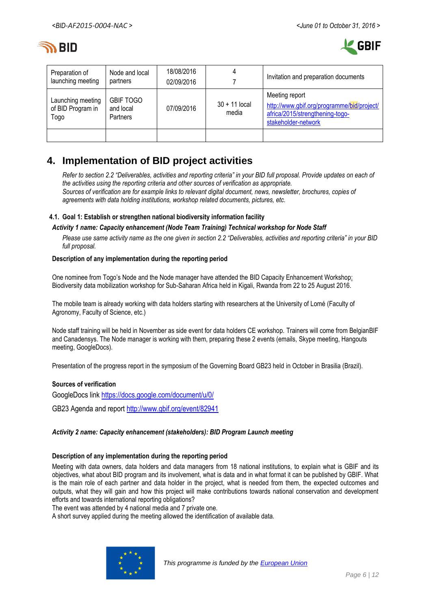



| Preparation of<br>launching meeting            | Node and local<br>partners                | 18/08/2016<br>02/09/2016 |                          | Invitation and preparation documents                                                                                   |
|------------------------------------------------|-------------------------------------------|--------------------------|--------------------------|------------------------------------------------------------------------------------------------------------------------|
| Launching meeting<br>of BID Program in<br>Togo | <b>GBIF TOGO</b><br>and local<br>Partners | 07/09/2016               | $30 + 11$ local<br>media | Meeting report<br>http://www.gbif.org/programme/bid/project/<br>africa/2015/strengthening-togo-<br>stakeholder-network |
|                                                |                                           |                          |                          |                                                                                                                        |

# **4. Implementation of BID project activities**

*Refer to section 2.2 "Deliverables, activities and reporting criteria" in your BID full proposal. Provide updates on each of the activities using the reporting criteria and other sources of verification as appropriate. Sources of verification are for example links to relevant digital document, news, newsletter, brochures, copies of agreements with data holding institutions, workshop related documents, pictures, etc.*

### **4.1. Goal 1: Establish or strengthen national biodiversity information facility**

#### *Activity 1 name: Capacity enhancement (Node Team Training) Technical workshop for Node Staff*

*Please use same activity name as the one given in section 2.2 "Deliverables, activities and reporting criteria" in your BID full proposal.*

#### **Description of any implementation during the reporting period**

One nominee from Togo's Node and the Node manager have attended the [BID Capacity Enhancement Workshop:](http://www.gbif.org/event/82794)  [Biodiversity data mobilization workshop for Sub-Saharan Africa](http://www.gbif.org/event/82794) held in Kigali, Rwanda from 22 to 25 August 2016.

The mobile team is already working with data holders starting with researchers at the University of Lomé (Faculty of Agronomy, Faculty of Science, etc.)

Node staff training will be held in November as side event for data holders CE workshop. Trainers will come from BelgianBIF and Canadensys. The Node manager is working with them, preparing these 2 events (emails, Skype meeting, Hangouts meeting, GoogleDocs).

Presentation of the progress report in the symposium of the Governing Board GB23 held in October in Brasilia (Brazil).

### **Sources of verification**

GoogleDocs link <https://docs.google.com/document/u/0/> GB23 Agenda and report <http://www.gbif.org/event/82941>

### *Activity 2 name: Capacity enhancement (stakeholders): BID Program Launch meeting*

#### **Description of any implementation during the reporting period**

Meeting with data owners, data holders and data managers from 18 national institutions, to explain what is GBIF and its objectives, what about BID program and its involvement, what is data and in what format it can be published by GBIF. What is the main role of each partner and data holder in the project, what is needed from them, the expected outcomes and outputs, what they will gain and how this project will make contributions towards national conservation and development efforts and towards international reporting obligations?

The event was attended by 4 national media and 7 private one.

A short survey applied during the meeting allowed the identification of available data.

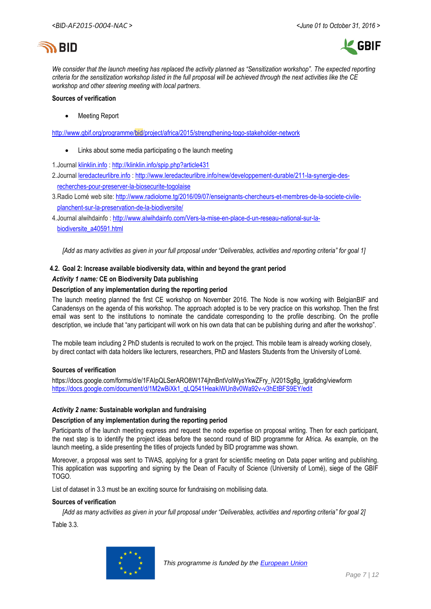



*We consider that the launch meeting has replaced the activity planned as "Sensitization workshop". The expected reporting criteria for the sensitization workshop listed in the full proposal will be achieved through the next activities like the CE workshop and other steering meeting with local partners.* 

#### **Sources of verification**

Meeting Report

<http://www.gbif.org/programme/bid/project/africa/2015/strengthening-togo-stakeholder-network>

- Links about some media participating o the launch meeting
- 1.Journal [klinklin.info](http://klinklin.info/) : <http://klinklin.info/spip.php?article431>
- 2.Journal [leredacteurlibre.info](http://leredacteurlibre.info/) : [http://www.leredacteurlibre.info/new/developpement-durable/211-la-synergie-des](http://www.leredacteurlibre.info/new/developpement-durable/211-la-synergie-des-recherches-pour-preserver-la-biosecurite-togolaise)[recherches-pour-preserver-la-biosecurite-togolaise](http://www.leredacteurlibre.info/new/developpement-durable/211-la-synergie-des-recherches-pour-preserver-la-biosecurite-togolaise)
- 3.Radio Lomé web site: [http://www.radiolome.tg/2016/09/07/enseignants-chercheurs-et-membres-de-la-societe-civile](http://www.radiolome.tg/2016/09/07/enseignants-chercheurs-et-membres-de-la-societe-civile-planchent-sur-la-preservation-de-la-biodiversite/)[planchent-sur-la-preservation-de-la-biodiversite/](http://www.radiolome.tg/2016/09/07/enseignants-chercheurs-et-membres-de-la-societe-civile-planchent-sur-la-preservation-de-la-biodiversite/)
- 4.Journal alwihdainfo : [http://www.alwihdainfo.com/Vers-la-mise-en-place-d-un-reseau-national-sur-la](http://www.alwihdainfo.com/Vers-la-mise-en-place-d-un-reseau-national-sur-la-biodiversite_a40591.html)[biodiversite\\_a40591.html](http://www.alwihdainfo.com/Vers-la-mise-en-place-d-un-reseau-national-sur-la-biodiversite_a40591.html)

*[Add as many activities as given in your full proposal under "Deliverables, activities and reporting criteria" for goal 1]*

# **4.2. Goal 2: Increase available biodiversity data, within and beyond the grant period**

#### *Activity 1 name:* **CE on Biodiversity Data publishing**

#### **Description of any implementation during the reporting period**

The launch meeting planned the first CE workshop on November 2016. The Node is now working with BelgianBIF and Canadensys on the agenda of this workshop. The approach adopted is to be very practice on this workshop. Then the first email was sent to the institutions to nominate the candidate corresponding to the profile describing. On the profile description, we include that "any participant will work on his own data that can be publishing during and after the workshop".

The mobile team including 2 PhD students is recruited to work on the project. This mobile team is already working closely, by direct contact with data holders like lecturers, researchers, PhD and Masters Students from the University of Lomé.

#### **Sources of verification**

[https://docs.google.com/forms/d/e/1FAIpQLSerARO8W174jhnBntVolWysYkwZFry\\_iV201Sg8g\\_lgra6dng/viewform](https://docs.google.com/forms/d/e/1FAIpQLSerARO8W174jhnBntVolWysYkwZFry_iV201Sg8g_lgra6dng/viewform) [https://docs.google.com/document/d/1M2wBiXk1\\_qLQ541HeakiWUn8v0Wa92v-v3hEtBFS9EY/edit](https://docs.google.com/document/d/1M2wBiXk1_qLQ541HeakiWUn8v0Wa92v-v3hEtBFS9EY/edit)

#### *Activity 2 name:* **Sustainable workplan and fundraising**

#### **Description of any implementation during the reporting period**

Participants of the launch meeting express and request the node expertise on proposal writing. Then for each participant, the next step is to identify the project ideas before the second round of BID programme for Africa. As example, on the launch meeting, a slide presenting the titles of projects funded by BID programme was shown.

Moreover, a proposal was sent to TWAS, applying for a grant for scientific meeting on Data paper writing and publishing. This application was supporting and signing by the Dean of Faculty of Science (University of Lomé), siege of the GBIF TOGO.

List of dataset in 3.3 must be an exciting source for fundraising on mobilising data.

#### **Sources of verification**

*[Add as many activities as given in your full proposal under "Deliverables, activities and reporting criteria" for goal 2]*

Table 3.3.

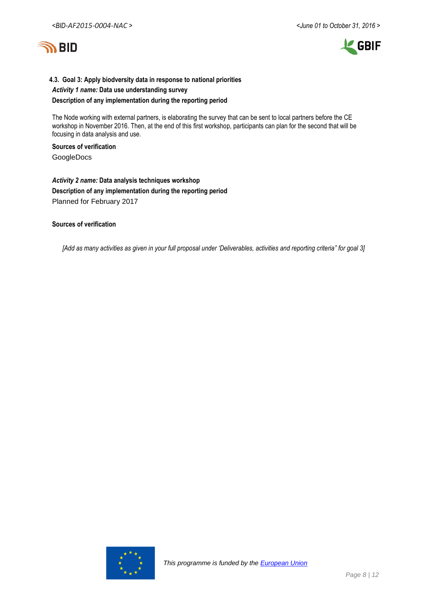

# **4.3. Goal 3: Apply biodversity data in response to national priorities**

# *Activity 1 name:* **Data use understanding survey Description of any implementation during the reporting period**

The Node working with external partners, is elaborating the survey that can be sent to local partners before the CE workshop in November 2016. Then, at the end of this first workshop, participants can plan for the second that will be focusing in data analysis and use.

#### **Sources of verification**

GoogleDocs

# *Activity 2 name:* **Data analysis techniques workshop Description of any implementation during the reporting period** Planned for February 2017

#### **Sources of verification**

*[Add as many activities as given in your full proposal under 'Deliverables, activities and reporting criteria" for goal 3]*

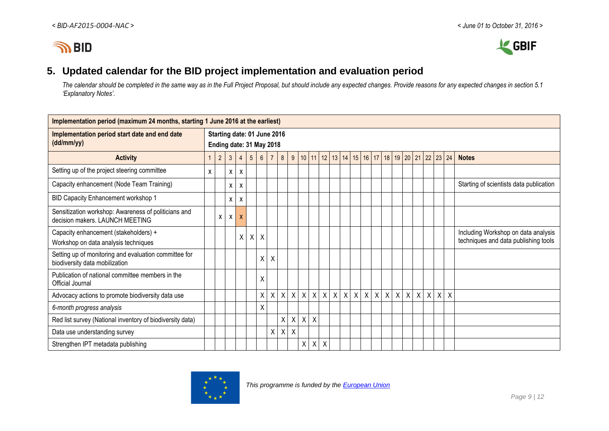



# **5. Updated calendar for the BID project implementation and evaluation period**

*The calendar should be completed in the same way as in the Full Project Proposal, but should include any expected changes. Provide reasons for any expected changes in section 5.1 'Explanatory Notes'.*

| Implementation period (maximum 24 months, starting 1 June 2016 at the earliest)         |              |                                                         |              |                |                 |                 |                |   |              |                    |              |              |              |                |              |                           |              |                           |              |         |             |         |              |              |                                                                             |
|-----------------------------------------------------------------------------------------|--------------|---------------------------------------------------------|--------------|----------------|-----------------|-----------------|----------------|---|--------------|--------------------|--------------|--------------|--------------|----------------|--------------|---------------------------|--------------|---------------------------|--------------|---------|-------------|---------|--------------|--------------|-----------------------------------------------------------------------------|
| Implementation period start date and end date<br>(dd/mm/yy)                             |              | Starting date: 01 June 2016<br>Ending date: 31 May 2018 |              |                |                 |                 |                |   |              |                    |              |              |              |                |              |                           |              |                           |              |         |             |         |              |              |                                                                             |
| <b>Activity</b>                                                                         | $\mathbf{1}$ | $\overline{2}$                                          | $\mathbf{3}$ | $\overline{4}$ | $5\overline{)}$ | $6\overline{6}$ | $\overline{7}$ | 8 |              | 9   10   11        |              | 12           |              | 13 14 15 16 17 |              |                           |              |                           |              |         | 18 19 20 21 | 22      |              | $23 \mid 24$ | <b>Notes</b>                                                                |
| Setting up of the project steering committee                                            | X            |                                                         | $\mathsf{x}$ | X              |                 |                 |                |   |              |                    |              |              |              |                |              |                           |              |                           |              |         |             |         |              |              |                                                                             |
| Capacity enhancement (Node Team Training)                                               |              |                                                         | X.           | X              |                 |                 |                |   |              |                    |              |              |              |                |              |                           |              |                           |              |         |             |         |              |              | Starting of scientists data publication                                     |
| BID Capacity Enhancement workshop 1                                                     |              |                                                         | X            | X              |                 |                 |                |   |              |                    |              |              |              |                |              |                           |              |                           |              |         |             |         |              |              |                                                                             |
| Sensitization workshop: Awareness of politicians and<br>decision makers. LAUNCH MEETING |              | $\mathsf{X}$                                            | $\mathsf{X}$ | $\mathsf{x}$   |                 |                 |                |   |              |                    |              |              |              |                |              |                           |              |                           |              |         |             |         |              |              |                                                                             |
| Capacity enhancement (stakeholders) +<br>Workshop on data analysis techniques           |              |                                                         |              | X.             | $\mathsf{X}$    | X               |                |   |              |                    |              |              |              |                |              |                           |              |                           |              |         |             |         |              |              | Including Workshop on data analysis<br>techniques and data publishing tools |
| Setting up of monitoring and evaluation committee for<br>biodiversity data mobilization |              |                                                         |              |                |                 | Χ               | Χ              |   |              |                    |              |              |              |                |              |                           |              |                           |              |         |             |         |              |              |                                                                             |
| Publication of national committee members in the<br>Official Journal                    |              |                                                         |              |                |                 | Χ               |                |   |              |                    |              |              |              |                |              |                           |              |                           |              |         |             |         |              |              |                                                                             |
| Advocacy actions to promote biodiversity data use                                       |              |                                                         |              |                |                 | X               | Χ              | X | $\mathsf{X}$ | $\mathsf{X}$       | $\mathsf{X}$ | $\mathsf{X}$ | $\mathsf{X}$ | $\mathsf{X}$   | $\mathsf{X}$ | $\boldsymbol{\mathsf{X}}$ | $\mathsf{X}$ | $\boldsymbol{\mathsf{X}}$ | $\mathsf{X}$ | $\sf X$ | $\sf X$     | $\sf X$ | $\mathsf{X}$ | $\sf X$      |                                                                             |
| 6-month progress analysis                                                               |              |                                                         |              |                |                 | X               |                |   |              |                    |              |              |              |                |              |                           |              |                           |              |         |             |         |              |              |                                                                             |
| Red list survey (National inventory of biodiversity data)                               |              |                                                         |              |                |                 |                 |                | X | $\mathsf{X}$ | X                  | $\sf X$      |              |              |                |              |                           |              |                           |              |         |             |         |              |              |                                                                             |
| Data use understanding survey                                                           |              |                                                         |              |                |                 |                 | X.             | X | X            |                    |              |              |              |                |              |                           |              |                           |              |         |             |         |              |              |                                                                             |
| Strengthen IPT metadata publishing                                                      |              |                                                         |              |                |                 |                 |                |   |              | $\pmb{\mathsf{X}}$ | $\mathsf{X}$ | $\sf X$      |              |                |              |                           |              |                           |              |         |             |         |              |              |                                                                             |

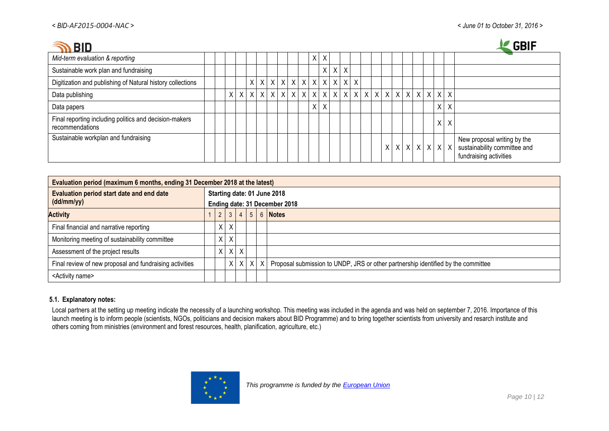$\mathbf{A}$  and  $\mathbf{A}$ 

| .BID                                                                      |  |          |          |  |  |                           |          |              |              |   |         |  |  |  |            |         | <b>GBIF</b>                                                                                                       |
|---------------------------------------------------------------------------|--|----------|----------|--|--|---------------------------|----------|--------------|--------------|---|---------|--|--|--|------------|---------|-------------------------------------------------------------------------------------------------------------------|
| Mid-term evaluation & reporting                                           |  |          |          |  |  |                           | $\times$ | $\mathsf{X}$ |              |   |         |  |  |  |            |         |                                                                                                                   |
| Sustainable work plan and fundraising                                     |  |          |          |  |  |                           |          | X.           | X            | X |         |  |  |  |            |         |                                                                                                                   |
| Digitization and publishing of Natural history collections                |  |          | $\times$ |  |  | x   x   x   x   x   x   x |          |              | $\mathsf{X}$ |   | $X$ $X$ |  |  |  |            |         |                                                                                                                   |
| Data publishing                                                           |  | $\times$ |          |  |  |                           |          |              |              |   |         |  |  |  | $x \mid x$ |         |                                                                                                                   |
| Data papers                                                               |  |          |          |  |  |                           | X.       | X            |              |   |         |  |  |  |            | $X$ $X$ |                                                                                                                   |
| Final reporting including politics and decision-makers<br>recommendations |  |          |          |  |  |                           |          |              |              |   |         |  |  |  |            | $X$ $X$ |                                                                                                                   |
| Sustainable workplan and fundraising                                      |  |          |          |  |  |                           |          |              |              |   |         |  |  |  |            |         | New proposal writing by the<br>$x   x   x   x   x   x   x$ sustainability committee and<br>fundraising activities |

| Evaluation period (maximum 6 months, ending 31 December 2018 at the latest) |                                                              |              |             |  |  |                                                                                                          |  |  |  |  |  |  |  |
|-----------------------------------------------------------------------------|--------------------------------------------------------------|--------------|-------------|--|--|----------------------------------------------------------------------------------------------------------|--|--|--|--|--|--|--|
| Evaluation period start date and end date<br>(dd/mm/yy)                     | Starting date: 01 June 2018<br>Ending date: 31 December 2018 |              |             |  |  |                                                                                                          |  |  |  |  |  |  |  |
| <b>Activity</b>                                                             | 2 <sup>1</sup>                                               |              | $3 \mid 4$  |  |  | $5 \mid 6 \mid$ Notes                                                                                    |  |  |  |  |  |  |  |
| Final financial and narrative reporting                                     | $X \mid$                                                     | $\mathsf{X}$ |             |  |  |                                                                                                          |  |  |  |  |  |  |  |
| Monitoring meeting of sustainability committee                              |                                                              | $X$ $X$      |             |  |  |                                                                                                          |  |  |  |  |  |  |  |
| Assessment of the project results                                           |                                                              |              | $X$ $X$ $X$ |  |  |                                                                                                          |  |  |  |  |  |  |  |
| Final review of new proposal and fundraising activities                     |                                                              |              |             |  |  | $X \mid X \mid X \mid$ Proposal submission to UNDP, JRS or other partnership identified by the committee |  |  |  |  |  |  |  |
| <activity name=""></activity>                                               |                                                              |              |             |  |  |                                                                                                          |  |  |  |  |  |  |  |

# **5.1. Explanatory notes:**

Local partners at the setting up meeting indicate the necessity of a launching workshop. This meeting was included in the agenda and was held on september 7, 2016. Importance of this launch meeting is to inform people (scientists, NGOs, politicians and decision makers about BID Programme) and to bring together scientists from university and resarch institute and others coming from ministries (environment and forest resources, health, planification, agriculture, etc.)

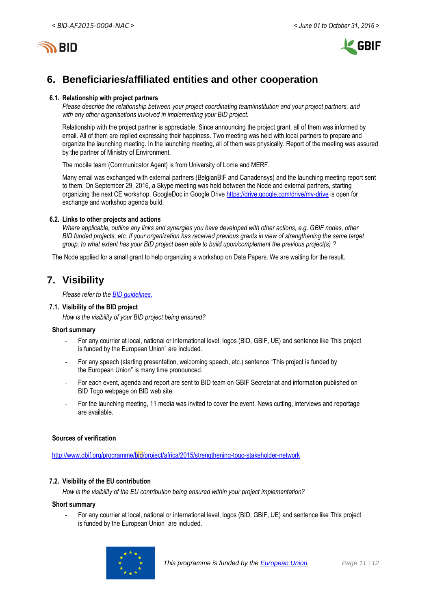

# **6. Beneficiaries/affiliated entities and other cooperation**

#### **6.1. Relationship with project partners**

*Please describe the relationship between your project coordinating team/institution and your project partners, and with any other organisations involved in implementing your BID project.*

Relationship with the project partner is appreciable. Since announcing the project grant, all of them was informed by email. All of them are replied expressing their happiness. Two meeting was held with local partners to prepare and organize the launching meeting. In the launching meeting, all of them was physically. Report of the meeting was assured by the partner of Ministry of Environment.

The mobile team (Communicator Agent) is from University of Lome and MERF.

Many email was exchanged with external partners (BelgianBIF and Canadensys) and the launching meeting report sent to them. On September 29, 2016, a Skype meeting was held between the Node and external partners, starting organizing the next CE workshop. GoogleDoc in Google Drive<https://drive.google.com/drive/my-drive> is open for exchange and workshop agenda build.

#### **6.2. Links to other projects and actions**

*Where applicable, outline any links and synergies you have developed with other actions, e.g. GBIF nodes, other BID funded projects, etc. If your organization has received previous grants in view of strengthening the same target group, to what extent has your BID project been able to build upon/complement the previous project(s) ?*

The Node applied for a small grant to help organizing a workshop on Data Papers. We are waiting for the result.

# **7. Visibility**

*Please refer to th[e BID guidelines.](http://bid.gbif.org/en/community/communication-guidelines/)*

#### **7.1. Visibility of the BID project**

*How is the visibility of your BID project being ensured?*

#### **Short summary**

- For any courrier at local, national or international level, logos (BID, GBIF, UE) and sentence like This project is funded by the European Union" are included.
- For any speech (starting presentation, welcoming speech, etc.) sentence "This project is funded by the European Union" is many time pronounced.
- For each event, agenda and report are sent to BID team on GBIF Secretariat and information published on BID Togo webpage on BID web site.
- For the launching meeting, 11 media was invited to cover the event. News cutting, interviews and reportage are available.

### **Sources of verification**

<http://www.gbif.org/programme/bid/project/africa/2015/strengthening-togo-stakeholder-network>

#### **7.2. Visibility of the EU contribution**

*How is the visibility of the EU contribution being ensured within your project implementation?*

#### **Short summary**

- For any courrier at local, national or international level, logos (BID, GBIF, UE) and sentence like This project is funded by the European Union" are included.